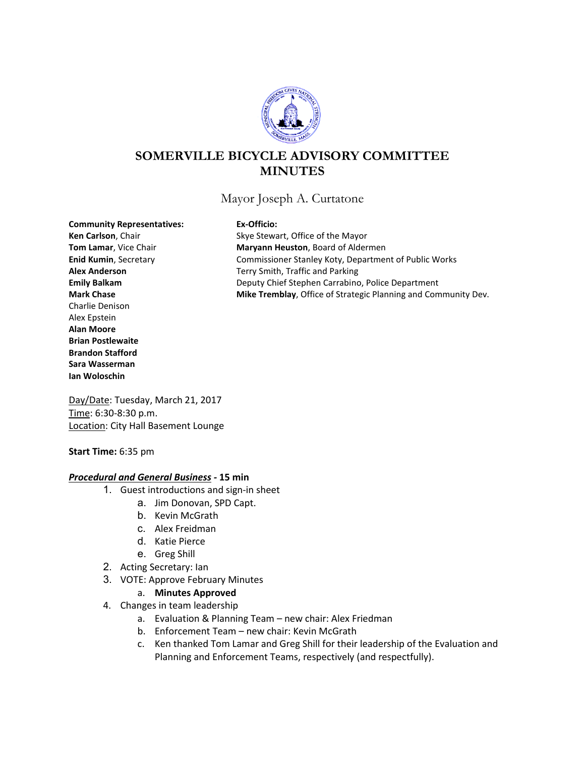

# **SOMERVILLE BICYCLE ADVISORY COMMITTEE MINUTES**

Mayor Joseph A. Curtatone

**Community Representatives: Ex-Officio:**

Charlie Denison Alex Epstein **Alan Moore Brian Postlewaite Brandon Stafford Sara Wasserman Ian Woloschin**

Ken Carlson, Chair **Ken Carlson**, Chair Skye Stewart, Office of the Mayor **Tom Lamar**, Vice Chair **Maryann Heuston**, Board of Aldermen **Enid Kumin**, Secretary **Commissioner Stanley Koty, Department of Public Works Alex Anderson** Terry Smith, Traffic and Parking **Emily Balkam** Deputy Chief Stephen Carrabino, Police Department **Mark Chase <b>Mike Tremblay**, Office of Strategic Planning and Community Dev.

Day/Date: Tuesday, March 21, 2017 Time: 6:30-8:30 p.m. Location: City Hall Basement Lounge

### **Start Time:** 6:35 pm

### *Procedural and General Business -* **15 min**

- 1. Guest introductions and sign-in sheet
	- a. Jim Donovan, SPD Capt.
	- b. Kevin McGrath
	- c. Alex Freidman
	- d. Katie Pierce
	- e. Greg Shill
- 2. Acting Secretary: Ian
- 3. VOTE: Approve February Minutes
	- a. **Minutes Approved**
- 4. Changes in team leadership
	- a. Evaluation & Planning Team new chair: Alex Friedman
	- b. Enforcement Team new chair: Kevin McGrath
	- c. Ken thanked Tom Lamar and Greg Shill for their leadership of the Evaluation and Planning and Enforcement Teams, respectively (and respectfully).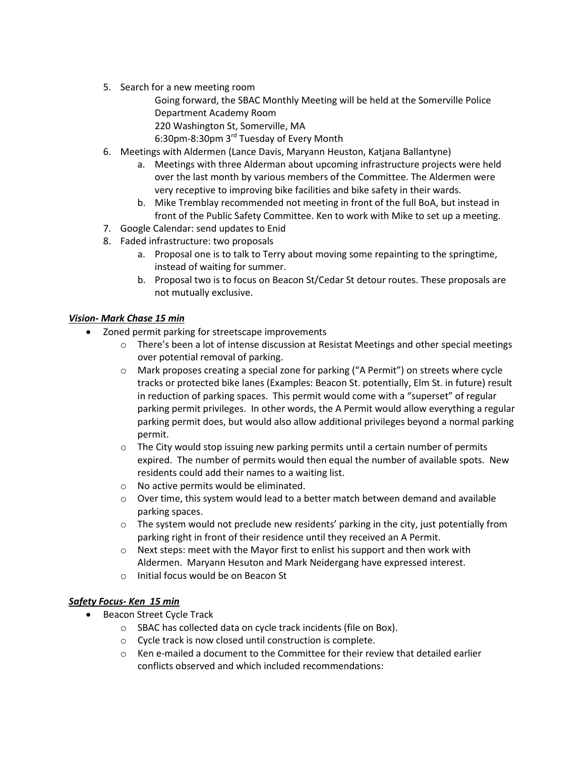5. Search for a new meeting room

Going forward, the SBAC Monthly Meeting will be held at the Somerville Police Department Academy Room

220 Washington St, Somerville, MA

6:30pm-8:30pm 3rd Tuesday of Every Month

- 6. Meetings with Aldermen (Lance Davis, Maryann Heuston, Katjana Ballantyne)
	- a. Meetings with three Alderman about upcoming infrastructure projects were held over the last month by various members of the Committee. The Aldermen were very receptive to improving bike facilities and bike safety in their wards.
	- b. Mike Tremblay recommended not meeting in front of the full BoA, but instead in front of the Public Safety Committee. Ken to work with Mike to set up a meeting.
- 7. Google Calendar: send updates to Enid
- 8. Faded infrastructure: two proposals
	- a. Proposal one is to talk to Terry about moving some repainting to the springtime, instead of waiting for summer.
	- b. Proposal two is to focus on Beacon St/Cedar St detour routes. These proposals are not mutually exclusive.

## *Vision- Mark Chase 15 min*

- Zoned permit parking for streetscape improvements
	- $\circ$  There's been a lot of intense discussion at Resistat Meetings and other special meetings over potential removal of parking.
	- o Mark proposes creating a special zone for parking ("A Permit") on streets where cycle tracks or protected bike lanes (Examples: Beacon St. potentially, Elm St. in future) result in reduction of parking spaces. This permit would come with a "superset" of regular parking permit privileges. In other words, the A Permit would allow everything a regular parking permit does, but would also allow additional privileges beyond a normal parking permit.
	- $\circ$  The City would stop issuing new parking permits until a certain number of permits expired. The number of permits would then equal the number of available spots. New residents could add their names to a waiting list.
	- o No active permits would be eliminated.
	- $\circ$  Over time, this system would lead to a better match between demand and available parking spaces.
	- $\circ$  The system would not preclude new residents' parking in the city, just potentially from parking right in front of their residence until they received an A Permit.
	- $\circ$  Next steps: meet with the Mayor first to enlist his support and then work with Aldermen. Maryann Hesuton and Mark Neidergang have expressed interest.
	- o Initial focus would be on Beacon St

## *Safety Focus- Ken 15 min*

- Beacon Street Cycle Track
	- o SBAC has collected data on cycle track incidents (file on Box).
	- o Cycle track is now closed until construction is complete.
	- $\circ$  Ken e-mailed a document to the Committee for their review that detailed earlier conflicts observed and which included recommendations: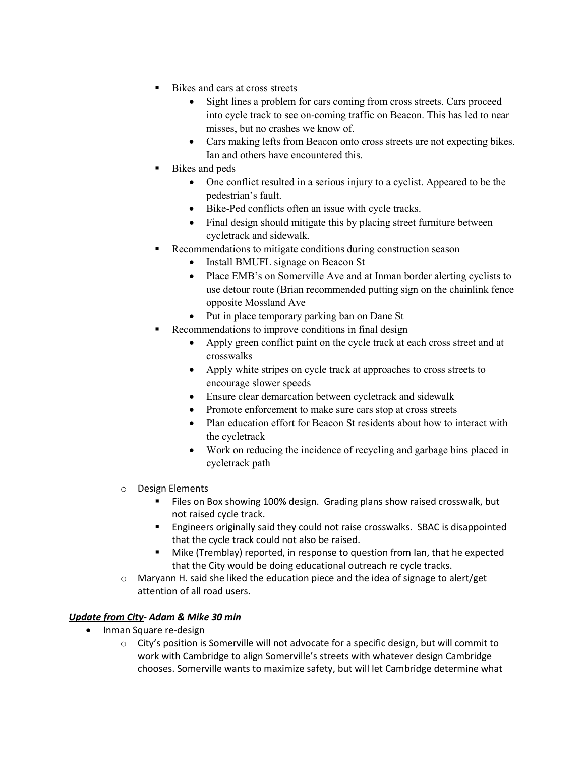- Bikes and cars at cross streets
	- Sight lines a problem for cars coming from cross streets. Cars proceed into cycle track to see on-coming traffic on Beacon. This has led to near misses, but no crashes we know of.
	- Cars making lefts from Beacon onto cross streets are not expecting bikes. Ian and others have encountered this.
- Bikes and peds
	- One conflict resulted in a serious injury to a cyclist. Appeared to be the pedestrian's fault.
	- Bike-Ped conflicts often an issue with cycle tracks.
	- Final design should mitigate this by placing street furniture between cycletrack and sidewalk.
	- Recommendations to mitigate conditions during construction season
		- Install BMUFL signage on Beacon St
		- Place EMB's on Somerville Ave and at Inman border alerting cyclists to use detour route (Brian recommended putting sign on the chainlink fence opposite Mossland Ave
		- Put in place temporary parking ban on Dane St
- Recommendations to improve conditions in final design
	- Apply green conflict paint on the cycle track at each cross street and at crosswalks
	- Apply white stripes on cycle track at approaches to cross streets to encourage slower speeds
	- Ensure clear demarcation between cycletrack and sidewalk
	- Promote enforcement to make sure cars stop at cross streets
	- Plan education effort for Beacon St residents about how to interact with the cycletrack
	- Work on reducing the incidence of recycling and garbage bins placed in cycletrack path
- O Design Elements
	- Files on Box showing 100% design. Grading plans show raised crosswalk, but not raised cycle track.
	- Engineers originally said they could not raise crosswalks. SBAC is disappointed that the cycle track could not also be raised.
	- Mike (Tremblay) reported, in response to question from Ian, that he expected that the City would be doing educational outreach re cycle tracks.
- $\circ$  Maryann H. said she liked the education piece and the idea of signage to alert/get attention of all road users.

## *Update from City- Adam & Mike 30 min*

- Inman Square re-design
	- $\circ$  City's position is Somerville will not advocate for a specific design, but will commit to work with Cambridge to align Somerville's streets with whatever design Cambridge chooses. Somerville wants to maximize safety, but will let Cambridge determine what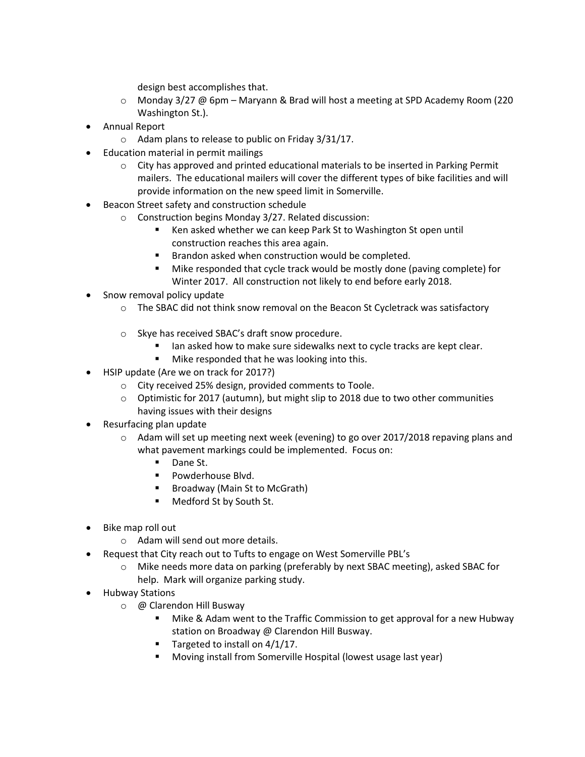design best accomplishes that.

- o Monday 3/27 @ 6pm Maryann & Brad will host a meeting at SPD Academy Room (220 Washington St.).
- Annual Report
	- o Adam plans to release to public on Friday 3/31/17.
- Education material in permit mailings
	- $\circ$  City has approved and printed educational materials to be inserted in Parking Permit mailers. The educational mailers will cover the different types of bike facilities and will provide information on the new speed limit in Somerville.
- Beacon Street safety and construction schedule
	- o Construction begins Monday 3/27. Related discussion:
		- Ken asked whether we can keep Park St to Washington St open until construction reaches this area again.
		- Brandon asked when construction would be completed.
		- Mike responded that cycle track would be mostly done (paving complete) for Winter 2017. All construction not likely to end before early 2018.
- Snow removal policy update
	- $\circ$  The SBAC did not think snow removal on the Beacon St Cycletrack was satisfactory
	- o Skye has received SBAC's draft snow procedure.
		- Ian asked how to make sure sidewalks next to cycle tracks are kept clear.
		- **Mike responded that he was looking into this.**
- HSIP update (Are we on track for 2017?)
	- o City received 25% design, provided comments to Toole.
	- o Optimistic for 2017 (autumn), but might slip to 2018 due to two other communities having issues with their designs
- Resurfacing plan update
	- $\circ$  Adam will set up meeting next week (evening) to go over 2017/2018 repaving plans and what pavement markings could be implemented. Focus on:
		- Dane St.
		- **Powderhouse Blvd.**
		- Broadway (Main St to McGrath)
		- Medford St by South St.
- Bike map roll out
	- o Adam will send out more details.
- Request that City reach out to Tufts to engage on West Somerville PBL's
	- o Mike needs more data on parking (preferably by next SBAC meeting), asked SBAC for help. Mark will organize parking study.
- Hubway Stations
	- o @ Clarendon Hill Busway
		- **Mike & Adam went to the Traffic Commission to get approval for a new Hubway** station on Broadway @ Clarendon Hill Busway.
		- Targeted to install on  $4/1/17$ .
		- Moving install from Somerville Hospital (lowest usage last year)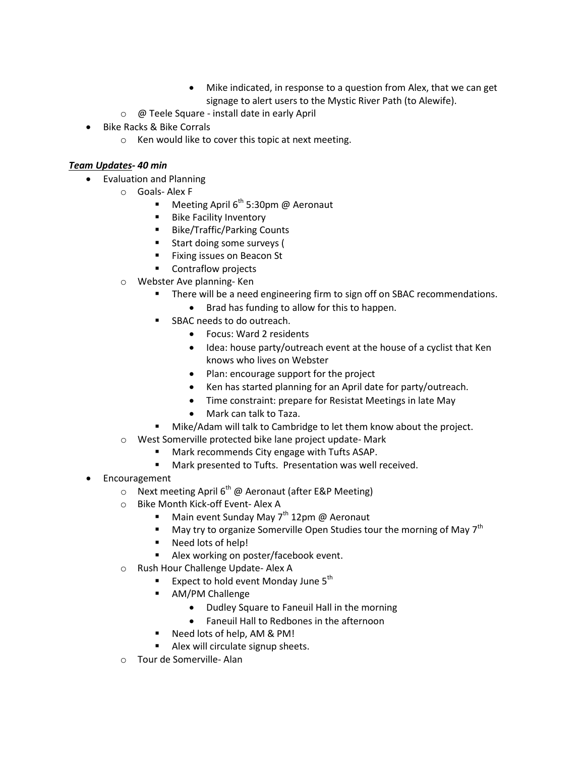- Mike indicated, in response to a question from Alex, that we can get signage to alert users to the Mystic River Path (to Alewife).
- o @ Teele Square install date in early April
- Bike Racks & Bike Corrals
	- o Ken would like to cover this topic at next meeting.

# *Team Updates- 40 min*

- Evaluation and Planning
	- o Goals- Alex F
		- Meeting April  $6^{th}$  5:30pm @ Aeronaut
		- **Bike Facility Inventory**
		- Bike/Traffic/Parking Counts
		- **Start doing some surveys (**
		- Fixing issues on Beacon St
		- **EXECONTER CONTRACTS**
	- o Webster Ave planning- Ken
		- **There will be a need engineering firm to sign off on SBAC recommendations.** 
			- Brad has funding to allow for this to happen.
		- SBAC needs to do outreach.
			- Focus: Ward 2 residents
			- Idea: house party/outreach event at the house of a cyclist that Ken knows who lives on Webster
			- Plan: encourage support for the project
			- Ken has started planning for an April date for party/outreach.
			- Time constraint: prepare for Resistat Meetings in late May
			- Mark can talk to Taza.
		- Mike/Adam will talk to Cambridge to let them know about the project.
	- o West Somerville protected bike lane project update- Mark
		- Mark recommends City engage with Tufts ASAP.
		- **Mark presented to Tufts. Presentation was well received.**
- **Encouragement** 
	- $\circ$  Next meeting April 6<sup>th</sup> @ Aeronaut (after E&P Meeting)
	- o Bike Month Kick-off Event- Alex A
		- Main event Sunday May  $7<sup>th</sup> 12$ pm @ Aeronaut
		- $\blacksquare$  May try to organize Somerville Open Studies tour the morning of May  $7<sup>th</sup>$
		- Need lots of help!
		- Alex working on poster/facebook event.
	- o Rush Hour Challenge Update- Alex A
		- **Expect to hold event Monday June 5<sup>th</sup>**
		- AM/PM Challenge
			- Dudley Square to Faneuil Hall in the morning
			- Faneuil Hall to Redbones in the afternoon
		- Need lots of help, AM & PM!
		- Alex will circulate signup sheets.
	- o Tour de Somerville- Alan